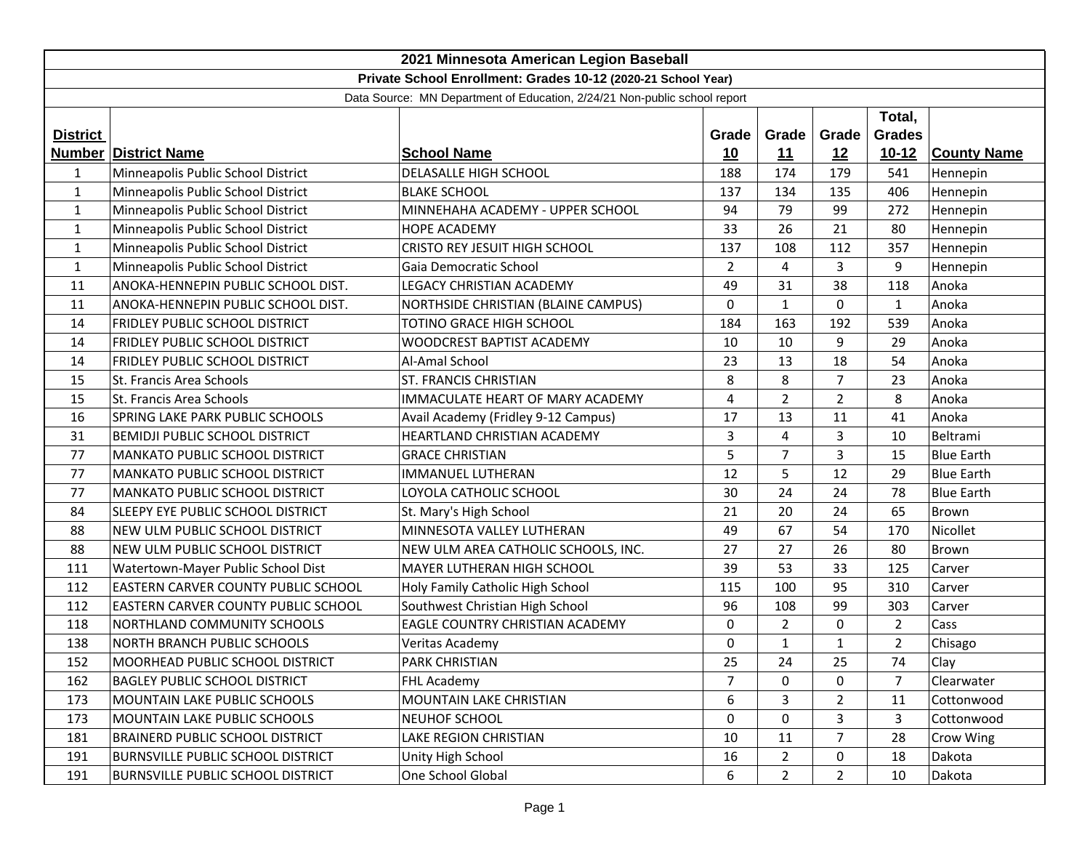| 2021 Minnesota American Legion Baseball                                   |                                          |                                      |                |                |                |                |                    |
|---------------------------------------------------------------------------|------------------------------------------|--------------------------------------|----------------|----------------|----------------|----------------|--------------------|
| Private School Enrollment: Grades 10-12 (2020-21 School Year)             |                                          |                                      |                |                |                |                |                    |
| Data Source: MN Department of Education, 2/24/21 Non-public school report |                                          |                                      |                |                |                |                |                    |
|                                                                           |                                          |                                      |                |                |                | Total,         |                    |
| <b>District</b>                                                           |                                          |                                      | Grade          | Grade          | Grade          | <b>Grades</b>  |                    |
|                                                                           | <b>Number District Name</b>              | <b>School Name</b>                   | 10             | 11             | 12             | $10 - 12$      | <b>County Name</b> |
| $\mathbf{1}$                                                              | Minneapolis Public School District       | DELASALLE HIGH SCHOOL                | 188            | 174            | 179            | 541            | Hennepin           |
| $\mathbf{1}$                                                              | Minneapolis Public School District       | <b>BLAKE SCHOOL</b>                  | 137            | 134            | 135            | 406            | Hennepin           |
| $\mathbf{1}$                                                              | Minneapolis Public School District       | MINNEHAHA ACADEMY - UPPER SCHOOL     | 94             | 79             | 99             | 272            | Hennepin           |
| 1                                                                         | Minneapolis Public School District       | <b>HOPE ACADEMY</b>                  | 33             | 26             | 21             | 80             | Hennepin           |
| $\mathbf{1}$                                                              | Minneapolis Public School District       | <b>CRISTO REY JESUIT HIGH SCHOOL</b> | 137            | 108            | 112            | 357            | Hennepin           |
| $\mathbf{1}$                                                              | Minneapolis Public School District       | Gaia Democratic School               | $\overline{2}$ | 4              | 3              | 9              | Hennepin           |
| 11                                                                        | ANOKA-HENNEPIN PUBLIC SCHOOL DIST.       | <b>LEGACY CHRISTIAN ACADEMY</b>      | 49             | 31             | 38             | 118            | Anoka              |
| 11                                                                        | ANOKA-HENNEPIN PUBLIC SCHOOL DIST.       | NORTHSIDE CHRISTIAN (BLAINE CAMPUS)  | 0              | $\mathbf{1}$   | $\Omega$       | $\mathbf{1}$   | Anoka              |
| 14                                                                        | FRIDLEY PUBLIC SCHOOL DISTRICT           | TOTINO GRACE HIGH SCHOOL             | 184            | 163            | 192            | 539            | Anoka              |
| 14                                                                        | FRIDLEY PUBLIC SCHOOL DISTRICT           | WOODCREST BAPTIST ACADEMY            | 10             | 10             | 9              | 29             | Anoka              |
| 14                                                                        | FRIDLEY PUBLIC SCHOOL DISTRICT           | Al-Amal School                       | 23             | 13             | 18             | 54             | Anoka              |
| 15                                                                        | St. Francis Area Schools                 | ST. FRANCIS CHRISTIAN                | 8              | 8              | $\overline{7}$ | 23             | Anoka              |
| 15                                                                        | St. Francis Area Schools                 | IMMACULATE HEART OF MARY ACADEMY     | 4              | $\overline{2}$ | 2              | 8              | Anoka              |
| 16                                                                        | <b>SPRING LAKE PARK PUBLIC SCHOOLS</b>   | Avail Academy (Fridley 9-12 Campus)  | 17             | 13             | 11             | 41             | Anoka              |
| 31                                                                        | BEMIDJI PUBLIC SCHOOL DISTRICT           | HEARTLAND CHRISTIAN ACADEMY          | 3              | 4              | 3              | 10             | Beltrami           |
| 77                                                                        | <b>MANKATO PUBLIC SCHOOL DISTRICT</b>    | <b>GRACE CHRISTIAN</b>               | 5              | $\overline{7}$ | 3              | 15             | <b>Blue Earth</b>  |
| 77                                                                        | <b>MANKATO PUBLIC SCHOOL DISTRICT</b>    | IMMANUEL LUTHERAN                    | 12             | 5              | 12             | 29             | <b>Blue Earth</b>  |
| 77                                                                        | MANKATO PUBLIC SCHOOL DISTRICT           | LOYOLA CATHOLIC SCHOOL               | 30             | 24             | 24             | 78             | <b>Blue Earth</b>  |
| 84                                                                        | SLEEPY EYE PUBLIC SCHOOL DISTRICT        | St. Mary's High School               | 21             | 20             | 24             | 65             | <b>Brown</b>       |
| 88                                                                        | NEW ULM PUBLIC SCHOOL DISTRICT           | MINNESOTA VALLEY LUTHERAN            | 49             | 67             | 54             | 170            | Nicollet           |
| 88                                                                        | NEW ULM PUBLIC SCHOOL DISTRICT           | NEW ULM AREA CATHOLIC SCHOOLS, INC.  | 27             | 27             | 26             | 80             | Brown              |
| 111                                                                       | Watertown-Mayer Public School Dist       | MAYER LUTHERAN HIGH SCHOOL           | 39             | 53             | 33             | 125            | Carver             |
| 112                                                                       | EASTERN CARVER COUNTY PUBLIC SCHOOL      | Holy Family Catholic High School     | 115            | 100            | 95             | 310            | Carver             |
| 112                                                                       | EASTERN CARVER COUNTY PUBLIC SCHOOL      | Southwest Christian High School      | 96             | 108            | 99             | 303            | Carver             |
| 118                                                                       | NORTHLAND COMMUNITY SCHOOLS              | EAGLE COUNTRY CHRISTIAN ACADEMY      | $\mathbf 0$    | $\overline{2}$ | $\mathbf 0$    | $\overline{2}$ | Cass               |
| 138                                                                       | NORTH BRANCH PUBLIC SCHOOLS              | Veritas Academy                      | 0              | $\mathbf{1}$   | $\mathbf{1}$   | $\overline{2}$ | Chisago            |
| 152                                                                       | MOORHEAD PUBLIC SCHOOL DISTRICT          | PARK CHRISTIAN                       | 25             | 24             | 25             | 74             | <b>Clay</b>        |
| 162                                                                       | <b>BAGLEY PUBLIC SCHOOL DISTRICT</b>     | FHL Academy                          | 7              | 0              | $\mathbf 0$    | $\overline{7}$ | Clearwater         |
| 173                                                                       | MOUNTAIN LAKE PUBLIC SCHOOLS             | MOUNTAIN LAKE CHRISTIAN              | 6              | 3              | 2              | 11             | Cottonwood         |
| 173                                                                       | <b>MOUNTAIN LAKE PUBLIC SCHOOLS</b>      | NEUHOF SCHOOL                        | 0              | 0              | 3              | 3              | Cottonwood         |
| 181                                                                       | <b>BRAINERD PUBLIC SCHOOL DISTRICT</b>   | LAKE REGION CHRISTIAN                | 10             | 11             | $\overline{7}$ | 28             | Crow Wing          |
| 191                                                                       | <b>BURNSVILLE PUBLIC SCHOOL DISTRICT</b> | Unity High School                    | 16             | $\overline{2}$ | 0              | 18             | Dakota             |
| 191                                                                       | <b>BURNSVILLE PUBLIC SCHOOL DISTRICT</b> | One School Global                    | 6              | $\overline{2}$ | $\overline{2}$ | 10             | Dakota             |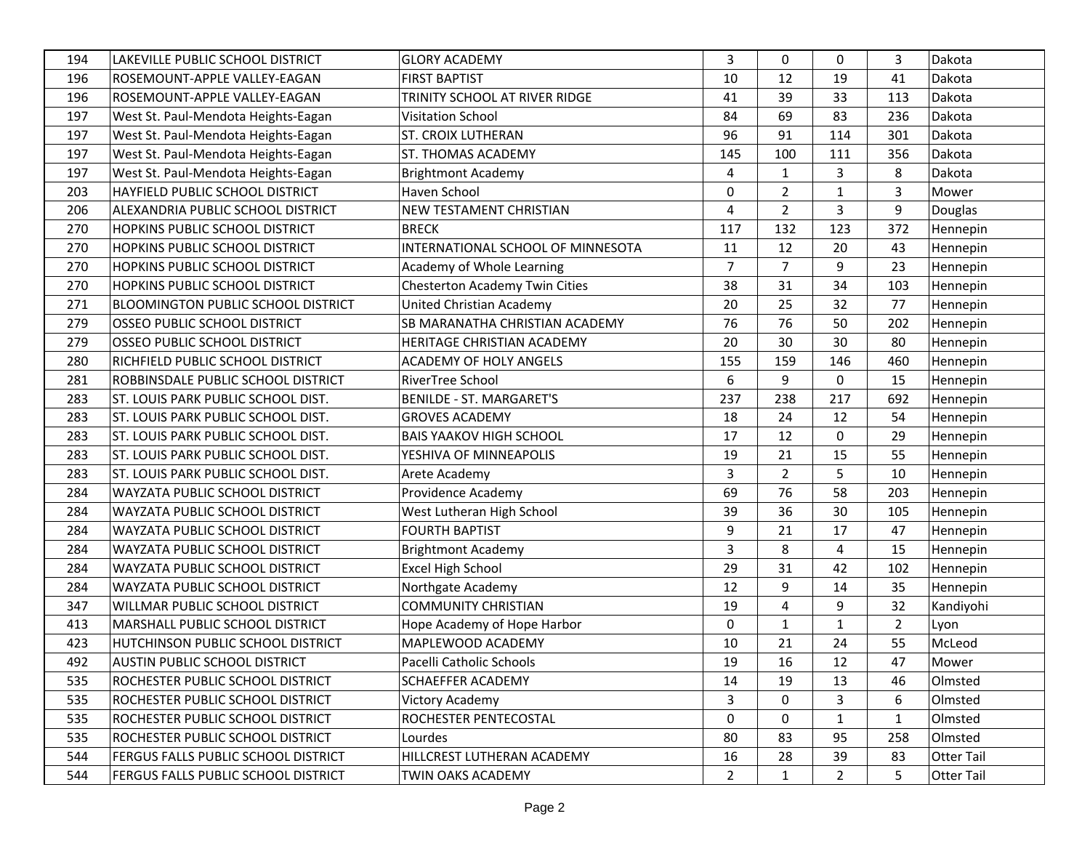| 194 | LAKEVILLE PUBLIC SCHOOL DISTRICT           | <b>GLORY ACADEMY</b>              | 3              | $\mathbf 0$    | 0              | 3              | Dakota     |
|-----|--------------------------------------------|-----------------------------------|----------------|----------------|----------------|----------------|------------|
| 196 | ROSEMOUNT-APPLE VALLEY-EAGAN               | <b>FIRST BAPTIST</b>              | 10             | 12             | 19             | 41             | Dakota     |
| 196 | ROSEMOUNT-APPLE VALLEY-EAGAN               | TRINITY SCHOOL AT RIVER RIDGE     | 41             | 39             | 33             | 113            | Dakota     |
| 197 | West St. Paul-Mendota Heights-Eagan        | Visitation School                 | 84             | 69             | 83             | 236            | Dakota     |
| 197 | West St. Paul-Mendota Heights-Eagan        | <b>ST. CROIX LUTHERAN</b>         | 96             | 91             | 114            | 301            | Dakota     |
| 197 | West St. Paul-Mendota Heights-Eagan        | <b>ST. THOMAS ACADEMY</b>         | 145            | 100            | 111            | 356            | Dakota     |
| 197 | West St. Paul-Mendota Heights-Eagan        | <b>Brightmont Academy</b>         | 4              | 1              | 3              | 8              | Dakota     |
| 203 | HAYFIELD PUBLIC SCHOOL DISTRICT            | Haven School                      | 0              | $\overline{2}$ | $\mathbf{1}$   | 3              | Mower      |
| 206 | ALEXANDRIA PUBLIC SCHOOL DISTRICT          | NEW TESTAMENT CHRISTIAN           | 4              | $\overline{2}$ | 3              | 9              | Douglas    |
| 270 | <b>HOPKINS PUBLIC SCHOOL DISTRICT</b>      | <b>BRECK</b>                      | 117            | 132            | 123            | 372            | Hennepin   |
| 270 | HOPKINS PUBLIC SCHOOL DISTRICT             | INTERNATIONAL SCHOOL OF MINNESOTA | 11             | 12             | 20             | 43             | Hennepin   |
| 270 | <b>HOPKINS PUBLIC SCHOOL DISTRICT</b>      | Academy of Whole Learning         | 7              | $\overline{7}$ | 9              | 23             | Hennepin   |
| 270 | HOPKINS PUBLIC SCHOOL DISTRICT             | Chesterton Academy Twin Cities    | 38             | 31             | 34             | 103            | Hennepin   |
| 271 | <b>BLOOMINGTON PUBLIC SCHOOL DISTRICT</b>  | United Christian Academy          | 20             | 25             | 32             | 77             | Hennepin   |
| 279 | <b>OSSEO PUBLIC SCHOOL DISTRICT</b>        | SB MARANATHA CHRISTIAN ACADEMY    | 76             | 76             | 50             | 202            | Hennepin   |
| 279 | <b>OSSEO PUBLIC SCHOOL DISTRICT</b>        | HERITAGE CHRISTIAN ACADEMY        | 20             | 30             | 30             | 80             | Hennepin   |
| 280 | RICHFIELD PUBLIC SCHOOL DISTRICT           | ACADEMY OF HOLY ANGELS            | 155            | 159            | 146            | 460            | Hennepin   |
| 281 | ROBBINSDALE PUBLIC SCHOOL DISTRICT         | RiverTree School                  | 6              | 9              | $\mathbf 0$    | 15             | Hennepin   |
| 283 | ST. LOUIS PARK PUBLIC SCHOOL DIST.         | <b>BENILDE - ST. MARGARET'S</b>   | 237            | 238            | 217            | 692            | Hennepin   |
| 283 | ST. LOUIS PARK PUBLIC SCHOOL DIST.         | <b>GROVES ACADEMY</b>             | 18             | 24             | 12             | 54             | Hennepin   |
| 283 | ST. LOUIS PARK PUBLIC SCHOOL DIST.         | <b>BAIS YAAKOV HIGH SCHOOL</b>    | 17             | 12             | 0              | 29             | Hennepin   |
| 283 | ST. LOUIS PARK PUBLIC SCHOOL DIST.         | YESHIVA OF MINNEAPOLIS            | 19             | 21             | 15             | 55             | Hennepin   |
| 283 | ST. LOUIS PARK PUBLIC SCHOOL DIST.         | Arete Academy                     | 3              | $\overline{2}$ | 5              | 10             | Hennepin   |
| 284 | WAYZATA PUBLIC SCHOOL DISTRICT             | Providence Academy                | 69             | 76             | 58             | 203            | Hennepin   |
| 284 | WAYZATA PUBLIC SCHOOL DISTRICT             | West Lutheran High School         | 39             | 36             | 30             | 105            | Hennepin   |
| 284 | WAYZATA PUBLIC SCHOOL DISTRICT             | <b>FOURTH BAPTIST</b>             | 9              | 21             | 17             | 47             | Hennepin   |
| 284 | WAYZATA PUBLIC SCHOOL DISTRICT             | <b>Brightmont Academy</b>         | 3              | 8              | 4              | 15             | Hennepin   |
| 284 | WAYZATA PUBLIC SCHOOL DISTRICT             | <b>Excel High School</b>          | 29             | 31             | 42             | 102            | Hennepin   |
| 284 | WAYZATA PUBLIC SCHOOL DISTRICT             | Northgate Academy                 | 12             | 9              | 14             | 35             | Hennepin   |
| 347 | WILLMAR PUBLIC SCHOOL DISTRICT             | <b>COMMUNITY CHRISTIAN</b>        | 19             | 4              | 9              | 32             | Kandiyohi  |
| 413 | MARSHALL PUBLIC SCHOOL DISTRICT            | Hope Academy of Hope Harbor       | 0              | $\mathbf{1}$   | $\mathbf{1}$   | $\overline{2}$ | Lyon       |
| 423 | HUTCHINSON PUBLIC SCHOOL DISTRICT          | MAPLEWOOD ACADEMY                 | 10             | 21             | 24             | 55             | McLeod     |
| 492 | <b>AUSTIN PUBLIC SCHOOL DISTRICT</b>       | Pacelli Catholic Schools          | 19             | 16             | 12             | 47             | Mower      |
| 535 | <b>ROCHESTER PUBLIC SCHOOL DISTRICT</b>    | <b>SCHAEFFER ACADEMY</b>          | 14             | 19             | 13             | 46             | Olmsted    |
| 535 | <b>ROCHESTER PUBLIC SCHOOL DISTRICT</b>    | Victory Academy                   | 3              | $\mathbf 0$    | 3              | 6              | Olmsted    |
| 535 | ROCHESTER PUBLIC SCHOOL DISTRICT           | ROCHESTER PENTECOSTAL             | 0              | 0              | $\mathbf{1}$   | 1              | Olmsted    |
| 535 | ROCHESTER PUBLIC SCHOOL DISTRICT           | Lourdes                           | 80             | 83             | 95             | 258            | Olmsted    |
| 544 | FERGUS FALLS PUBLIC SCHOOL DISTRICT        | HILLCREST LUTHERAN ACADEMY        | 16             | 28             | 39             | 83             | Otter Tail |
| 544 | <b>FERGUS FALLS PUBLIC SCHOOL DISTRICT</b> | TWIN OAKS ACADEMY                 | $\overline{2}$ | $\mathbf{1}$   | $\overline{2}$ | 5              | Otter Tail |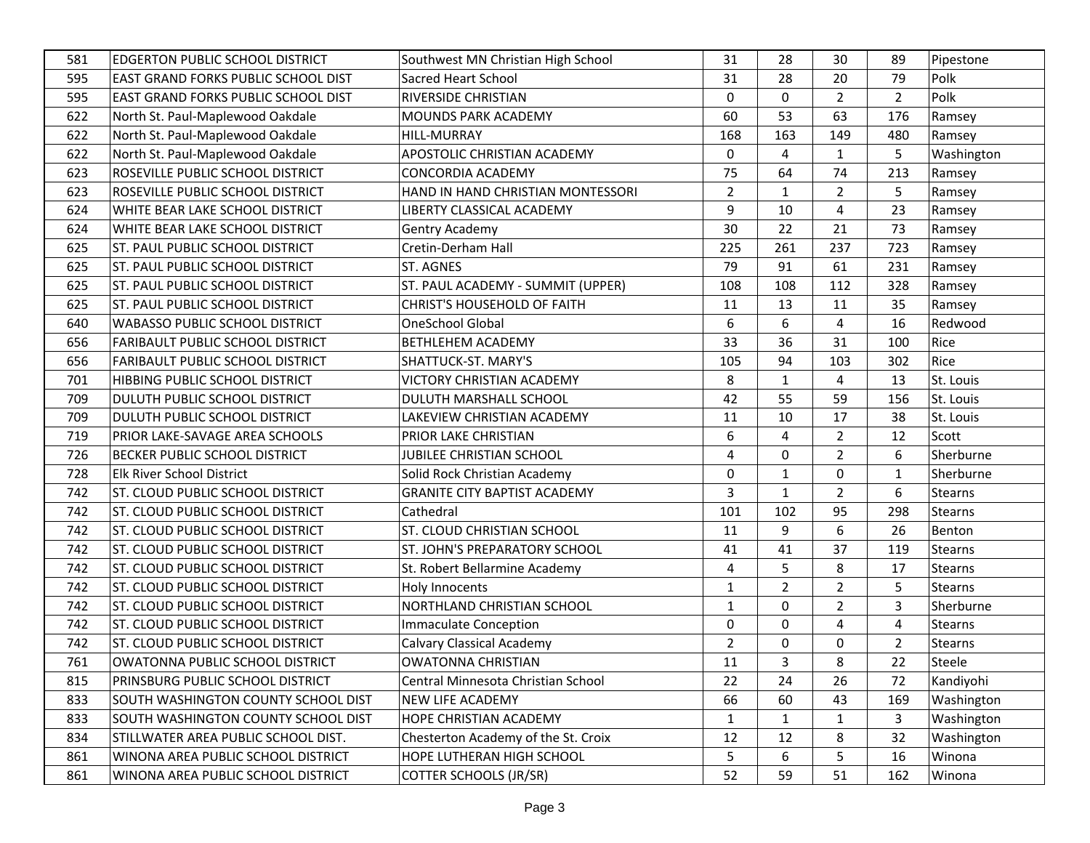| 581 | <b>EDGERTON PUBLIC SCHOOL DISTRICT</b>  | Southwest MN Christian High School  | 31             | 28             | 30             | 89             | Pipestone      |
|-----|-----------------------------------------|-------------------------------------|----------------|----------------|----------------|----------------|----------------|
| 595 | EAST GRAND FORKS PUBLIC SCHOOL DIST     | Sacred Heart School                 | 31             | 28             | 20             | 79             | Polk           |
| 595 | EAST GRAND FORKS PUBLIC SCHOOL DIST     | <b>RIVERSIDE CHRISTIAN</b>          | 0              | $\mathbf 0$    | $\overline{2}$ | $\overline{2}$ | Polk           |
| 622 | North St. Paul-Maplewood Oakdale        | <b>MOUNDS PARK ACADEMY</b>          | 60             | 53             | 63             | 176            | Ramsey         |
| 622 | North St. Paul-Maplewood Oakdale        | HILL-MURRAY                         | 168            | 163            | 149            | 480            | Ramsey         |
| 622 | North St. Paul-Maplewood Oakdale        | APOSTOLIC CHRISTIAN ACADEMY         | 0              | 4              | $\mathbf{1}$   | 5              | Washington     |
| 623 | ROSEVILLE PUBLIC SCHOOL DISTRICT        | <b>CONCORDIA ACADEMY</b>            | 75             | 64             | 74             | 213            | Ramsey         |
| 623 | ROSEVILLE PUBLIC SCHOOL DISTRICT        | HAND IN HAND CHRISTIAN MONTESSORI   | $\overline{2}$ | $\mathbf{1}$   | $\overline{2}$ | 5              | Ramsey         |
| 624 | WHITE BEAR LAKE SCHOOL DISTRICT         | LIBERTY CLASSICAL ACADEMY           | 9              | 10             | 4              | 23             | Ramsey         |
| 624 | WHITE BEAR LAKE SCHOOL DISTRICT         | Gentry Academy                      | 30             | 22             | 21             | 73             | Ramsey         |
| 625 | ST. PAUL PUBLIC SCHOOL DISTRICT         | Cretin-Derham Hall                  | 225            | 261            | 237            | 723            | Ramsey         |
| 625 | ST. PAUL PUBLIC SCHOOL DISTRICT         | <b>ST. AGNES</b>                    | 79             | 91             | 61             | 231            | Ramsey         |
| 625 | ST. PAUL PUBLIC SCHOOL DISTRICT         | ST. PAUL ACADEMY - SUMMIT (UPPER)   | 108            | 108            | 112            | 328            | Ramsey         |
| 625 | ST. PAUL PUBLIC SCHOOL DISTRICT         | <b>CHRIST'S HOUSEHOLD OF FAITH</b>  | 11             | 13             | 11             | 35             | Ramsey         |
| 640 | <b>WABASSO PUBLIC SCHOOL DISTRICT</b>   | OneSchool Global                    | 6              | 6              | 4              | 16             | Redwood        |
| 656 | <b>FARIBAULT PUBLIC SCHOOL DISTRICT</b> | <b>BETHLEHEM ACADEMY</b>            | 33             | 36             | 31             | 100            | Rice           |
| 656 | <b>FARIBAULT PUBLIC SCHOOL DISTRICT</b> | SHATTUCK-ST. MARY'S                 | 105            | 94             | 103            | 302            | Rice           |
| 701 | <b>HIBBING PUBLIC SCHOOL DISTRICT</b>   | <b>VICTORY CHRISTIAN ACADEMY</b>    | 8              | $\mathbf{1}$   | 4              | 13             | St. Louis      |
| 709 | DULUTH PUBLIC SCHOOL DISTRICT           | DULUTH MARSHALL SCHOOL              | 42             | 55             | 59             | 156            | St. Louis      |
| 709 | DULUTH PUBLIC SCHOOL DISTRICT           | LAKEVIEW CHRISTIAN ACADEMY          | 11             | 10             | 17             | 38             | St. Louis      |
| 719 | PRIOR LAKE-SAVAGE AREA SCHOOLS          | PRIOR LAKE CHRISTIAN                | 6              | 4              | $\overline{2}$ | 12             | Scott          |
| 726 | BECKER PUBLIC SCHOOL DISTRICT           | JUBILEE CHRISTIAN SCHOOL            | 4              | 0              | $\overline{2}$ | 6              | Sherburne      |
| 728 | Elk River School District               | Solid Rock Christian Academy        | 0              | $\mathbf{1}$   | 0              | 1              | Sherburne      |
| 742 | ST. CLOUD PUBLIC SCHOOL DISTRICT        | <b>GRANITE CITY BAPTIST ACADEMY</b> | 3              | $\mathbf{1}$   | $\overline{2}$ | 6              | <b>Stearns</b> |
| 742 | ST. CLOUD PUBLIC SCHOOL DISTRICT        | Cathedral                           | 101            | 102            | 95             | 298            | <b>Stearns</b> |
| 742 | ST. CLOUD PUBLIC SCHOOL DISTRICT        | ST. CLOUD CHRISTIAN SCHOOL          | 11             | 9              | 6              | 26             | Benton         |
| 742 | ST. CLOUD PUBLIC SCHOOL DISTRICT        | ST. JOHN'S PREPARATORY SCHOOL       | 41             | 41             | 37             | 119            | <b>Stearns</b> |
| 742 | ST. CLOUD PUBLIC SCHOOL DISTRICT        | St. Robert Bellarmine Academy       | 4              | 5              | 8              | 17             | <b>Stearns</b> |
| 742 | ST. CLOUD PUBLIC SCHOOL DISTRICT        | Holy Innocents                      | $\mathbf{1}$   | $\overline{2}$ | $\overline{2}$ | 5              | <b>Stearns</b> |
| 742 | ST. CLOUD PUBLIC SCHOOL DISTRICT        | NORTHLAND CHRISTIAN SCHOOL          | $\mathbf{1}$   | $\mathbf 0$    | $\overline{2}$ | 3              | Sherburne      |
| 742 | ST. CLOUD PUBLIC SCHOOL DISTRICT        | <b>Immaculate Conception</b>        | 0              | $\mathbf 0$    | 4              | 4              | <b>Stearns</b> |
| 742 | ST. CLOUD PUBLIC SCHOOL DISTRICT        | Calvary Classical Academy           | $\overline{2}$ | $\Omega$       | 0              | $\overline{2}$ | <b>Stearns</b> |
| 761 | OWATONNA PUBLIC SCHOOL DISTRICT         | <b>OWATONNA CHRISTIAN</b>           | 11             | 3              | 8              | 22             | Steele         |
| 815 | PRINSBURG PUBLIC SCHOOL DISTRICT        | Central Minnesota Christian School  | 22             | 24             | 26             | 72             | Kandiyohi      |
| 833 | SOUTH WASHINGTON COUNTY SCHOOL DIST     | NEW LIFE ACADEMY                    | 66             | 60             | 43             | 169            | Washington     |
| 833 | SOUTH WASHINGTON COUNTY SCHOOL DIST     | HOPE CHRISTIAN ACADEMY              | $\mathbf{1}$   | $\mathbf{1}$   | 1              | 3              | Washington     |
| 834 | STILLWATER AREA PUBLIC SCHOOL DIST.     | Chesterton Academy of the St. Croix | 12             | 12             | 8              | 32             | Washington     |
| 861 | WINONA AREA PUBLIC SCHOOL DISTRICT      | HOPE LUTHERAN HIGH SCHOOL           | 5              | 6              | 5              | 16             | Winona         |
| 861 | WINONA AREA PUBLIC SCHOOL DISTRICT      | COTTER SCHOOLS (JR/SR)              | 52             | 59             | 51             | 162            | Winona         |